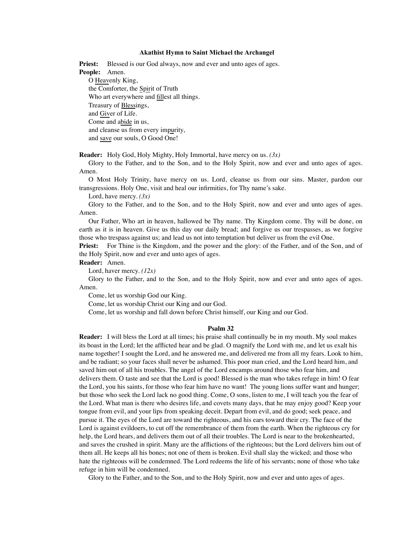#### **Akathist Hymn to Saint Michael the Archangel**

**Priest:** Blessed is our God always, now and ever and unto ages of ages. **People:** Amen. O Heavenly King, the Comforter, the Spirit of Truth Who art everywhere and **fillest** all things. Treasury of Blessings, and Giver of Life. Come and abide in us, and cleanse us from every impurity, and save our souls, O Good One!

**Reader:** Holy God, Holy Mighty, Holy Immortal, have mercy on us. *(3x)*

Glory to the Father, and to the Son, and to the Holy Spirit, now and ever and unto ages of ages. Amen.

O Most Holy Trinity, have mercy on us. Lord, cleanse us from our sins. Master, pardon our transgressions. Holy One, visit and heal our infirmities, for Thy name's sake.

Lord, have mercy. *(3x)*

Glory to the Father, and to the Son, and to the Holy Spirit, now and ever and unto ages of ages. Amen.

Our Father, Who art in heaven, hallowed be Thy name. Thy Kingdom come. Thy will be done, on earth as it is in heaven. Give us this day our daily bread; and forgive us our trespasses, as we forgive those who trespass against us; and lead us not into temptation but deliver us from the evil One.

**Priest:** For Thine is the Kingdom, and the power and the glory: of the Father, and of the Son, and of the Holy Spirit, now and ever and unto ages of ages.

**Reader:** Amen.

Lord, haver mercy. *(12x)*

Glory to the Father, and to the Son, and to the Holy Spirit, now and ever and unto ages of ages. Amen.

Come, let us worship God our King.

Come, let us worship Christ our King and our God.

Come, let us worship and fall down before Christ himself, our King and our God.

#### **Psalm 32**

**Reader:** I will bless the Lord at all times; his praise shall continually be in my mouth. My soul makes its boast in the Lord; let the afflicted hear and be glad. O magnify the Lord with me, and let us exalt his name together! I sought the Lord, and he answered me, and delivered me from all my fears. Look to him, and be radiant; so your faces shall never be ashamed. This poor man cried, and the Lord heard him, and saved him out of all his troubles. The angel of the Lord encamps around those who fear him, and delivers them. O taste and see that the Lord is good! Blessed is the man who takes refuge in him! O fear the Lord, you his saints, for those who fear him have no want! The young lions suffer want and hunger; but those who seek the Lord lack no good thing. Come, O sons, listen to me, I will teach you the fear of the Lord. What man is there who desires life, and covets many days, that he may enjoy good? Keep your tongue from evil, and your lips from speaking deceit. Depart from evil, and do good; seek peace, and pursue it. The eyes of the Lord are toward the righteous, and his ears toward their cry. The face of the Lord is against evildoers, to cut off the remembrance of them from the earth. When the righteous cry for help, the Lord hears, and delivers them out of all their troubles. The Lord is near to the brokenhearted, and saves the crushed in spirit. Many are the afflictions of the righteous; but the Lord delivers him out of them all. He keeps all his bones; not one of them is broken. Evil shall slay the wicked; and those who hate the righteous will be condemned. The Lord redeems the life of his servants; none of those who take refuge in him will be condemned.

Glory to the Father, and to the Son, and to the Holy Spirit, now and ever and unto ages of ages.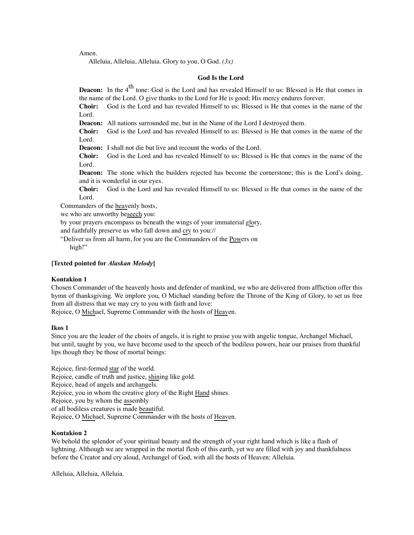Amen.

Alleluia, Alleluia, Alleluia. Glory to you, O God. *(3x)*

## **God Is the Lord**

**Deacon:** In the 4<sup>th</sup> tone: God is the Lord and has revealed Himself to us: Blessed is He that comes in the name of the Lord. O give thanks to the Lord for He is good; His mercy endures forever.

**Choir:** God is the Lord and has revealed Himself to us: Blessed is He that comes in the name of the Lord.

**Deacon:** All nations surrounded me, but in the Name of the Lord I destroyed them.

**Choir:** God is the Lord and has revealed Himself to us: Blessed is He that comes in the name of the Lord.

**Deacon:** I shall not die but live and recount the works of the Lord.

**Choir:** God is the Lord and has revealed Himself to us: Blessed is He that comes in the name of the Lord.

**Deacon:** The stone which the builders rejected has become the cornerstone; this is the Lord's doing, and it is wonderful in our eyes.

**Choir:** God is the Lord and has revealed Himself to us: Blessed is He that comes in the name of the Lord.

Commanders of the heavenly hosts,

we who are unworthy beseech you:

by your prayers encompass us beneath the wings of your immaterial glory,

and faithfully preserve us who fall down and cry to you://

"Deliver us from all harm, for you are the Commanders of the Powers on high!"

#### **[Texted pointed for** *Alaskan Melody***]**

#### **Kontakion 1**

Chosen Commander of the heavenly hosts and defender of mankind, we who are delivered from affliction offer this hymn of thanksgiving. We implore you, O Michael standing before the Throne of the King of Glory, to set us free from all distress that we may cry to you with faith and love:

Rejoice, O Michael, Supreme Commander with the hosts of Heaven.

## **Ikos 1**

Since you are the leader of the choirs of angels, it is right to praise you with angelic tongue, Archangel Michael, but until, taught by you, we have become used to the speech of the bodiless powers, hear our praises from thankful lips though they be those of mortal beings:

Rejoice, first-formed star of the world. Rejoice, candle of truth and justice, shining like gold. Rejoice, head of angels and archangels. Rejoice, you in whom the creative glory of the Right Hand shines. Rejoice, you by whom the assembly of all bodiless creatures is made beautiful. Rejoice, O Michael, Supreme Commander with the hosts of Heaven.

#### **Kontakion 2**

We behold the splendor of your spiritual beauty and the strength of your right hand which is like a flash of lightning. Although we are wrapped in the mortal flesh of this earth, yet we are filled with joy and thankfulness before the Creator and cry aloud, Archangel of God, with all the hosts of Heaven: Alleluia.

Alleluia, Alleluia, Alleluia.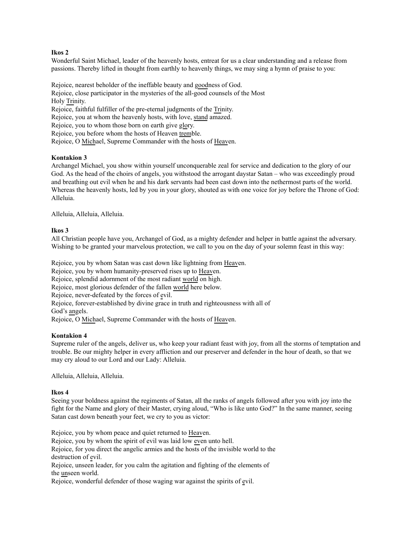## **Ikos 2**

Wonderful Saint Michael, leader of the heavenly hosts, entreat for us a clear understanding and a release from passions. Thereby lifted in thought from earthly to heavenly things, we may sing a hymn of praise to you:

Rejoice, nearest beholder of the ineffable beauty and goodness of God. Rejoice, close participator in the mysteries of the all-good counsels of the Most Holy Trinity. Rejoice, faithful fulfiller of the pre-eternal judgments of the Trinity. Rejoice, you at whom the heavenly hosts, with love, stand amazed. Rejoice, you to whom those born on earth give glory. Rejoice, you before whom the hosts of Heaven tremble. Rejoice, O Michael, Supreme Commander with the hosts of Heaven.

## **Kontakion 3**

Archangel Michael, you show within yourself unconquerable zeal for service and dedication to the glory of our God. As the head of the choirs of angels, you withstood the arrogant daystar Satan – who was exceedingly proud and breathing out evil when he and his dark servants had been cast down into the nethermost parts of the world. Whereas the heavenly hosts, led by you in your glory, shouted as with one voice for joy before the Throne of God: Alleluia.

Alleluia, Alleluia, Alleluia.

#### **Ikos 3**

All Christian people have you, Archangel of God, as a mighty defender and helper in battle against the adversary. Wishing to be granted your marvelous protection, we call to you on the day of your solemn feast in this way:

Rejoice, you by whom Satan was cast down like lightning from Heaven.

Rejoice, you by whom humanity-preserved rises up to Heaven.

Rejoice, splendid adornment of the most radiant world on high.

Rejoice, most glorious defender of the fallen world here below.

Rejoice, never-defeated by the forces of evil.

Rejoice, forever-established by divine grace in truth and righteousness with all of

God's angels.

Rejoice, O Michael, Supreme Commander with the hosts of Heaven.

## **Kontakion 4**

Supreme ruler of the angels, deliver us, who keep your radiant feast with joy, from all the storms of temptation and trouble. Be our mighty helper in every affliction and our preserver and defender in the hour of death, so that we may cry aloud to our Lord and our Lady: Alleluia.

Alleluia, Alleluia, Alleluia.

#### **Ikos 4**

Seeing your boldness against the regiments of Satan, all the ranks of angels followed after you with joy into the fight for the Name and glory of their Master, crying aloud, "Who is like unto God?" In the same manner, seeing Satan cast down beneath your feet, we cry to you as victor:

Rejoice, you by whom peace and quiet returned to Heaven.

Rejoice, you by whom the spirit of evil was laid low even unto hell.

Rejoice, for you direct the angelic armies and the hosts of the invisible world to the destruction of evil.

Rejoice, unseen leader, for you calm the agitation and fighting of the elements of the unseen world.

Rejoice, wonderful defender of those waging war against the spirits of evil.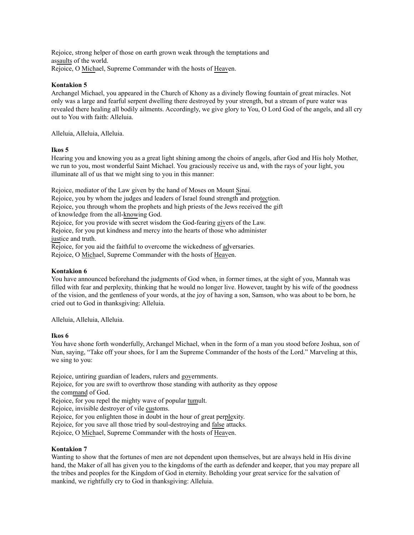Rejoice, strong helper of those on earth grown weak through the temptations and assaults of the world. Rejoice, O Michael, Supreme Commander with the hosts of Heaven.

# **Kontakion 5**

Archangel Michael, you appeared in the Church of Khony as a divinely flowing fountain of great miracles. Not only was a large and fearful serpent dwelling there destroyed by your strength, but a stream of pure water was revealed there healing all bodily ailments. Accordingly, we give glory to You, O Lord God of the angels, and all cry out to You with faith: Alleluia.

Alleluia, Alleluia, Alleluia.

## **Ikos 5**

Hearing you and knowing you as a great light shining among the choirs of angels, after God and His holy Mother, we run to you, most wonderful Saint Michael. You graciously receive us and, with the rays of your light, you illuminate all of us that we might sing to you in this manner:

Rejoice, mediator of the Law given by the hand of Moses on Mount Sinai. Rejoice, you by whom the judges and leaders of Israel found strength and protection. Rejoice, you through whom the prophets and high priests of the Jews received the gift of knowledge from the all-knowing God. Rejoice, for you provide with secret wisdom the God-fearing givers of the Law. Rejoice, for you put kindness and mercy into the hearts of those who administer justice and truth. Rejoice, for you aid the faithful to overcome the wickedness of adversaries. Rejoice, O Michael, Supreme Commander with the hosts of Heaven.

## **Kontakion 6**

You have announced beforehand the judgments of God when, in former times, at the sight of you, Mannah was filled with fear and perplexity, thinking that he would no longer live. However, taught by his wife of the goodness of the vision, and the gentleness of your words, at the joy of having a son, Samson, who was about to be born, he cried out to God in thanksgiving: Alleluia.

Alleluia, Alleluia, Alleluia.

## **Ikos 6**

You have shone forth wonderfully, Archangel Michael, when in the form of a man you stood before Joshua, son of Nun, saying, "Take off your shoes, for I am the Supreme Commander of the hosts of the Lord." Marveling at this, we sing to you:

Rejoice, untiring guardian of leaders, rulers and governments. Rejoice, for you are swift to overthrow those standing with authority as they oppose the command of God. Rejoice, for you repel the mighty wave of popular tumult. Rejoice, invisible destroyer of vile customs. Rejoice, for you enlighten those in doubt in the hour of great perplexity. Rejoice, for you save all those tried by soul-destroying and false attacks. Rejoice, O Michael, Supreme Commander with the hosts of Heaven.

#### **Kontakion 7**

Wanting to show that the fortunes of men are not dependent upon themselves, but are always held in His divine hand, the Maker of all has given you to the kingdoms of the earth as defender and keeper, that you may prepare all the tribes and peoples for the Kingdom of God in eternity. Beholding your great service for the salvation of mankind, we rightfully cry to God in thanksgiving: Alleluia.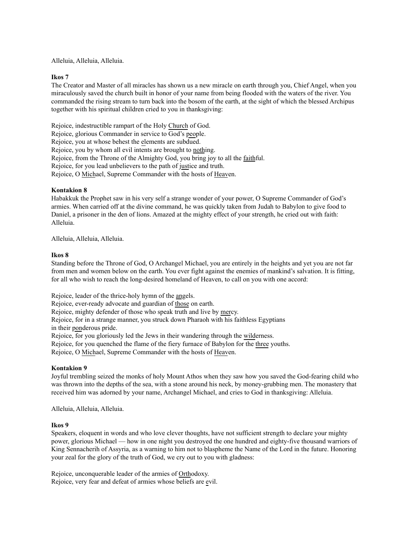Alleluia, Alleluia, Alleluia.

## **Ikos 7**

The Creator and Master of all miracles has shown us a new miracle on earth through you, Chief Angel, when you miraculously saved the church built in honor of your name from being flooded with the waters of the river. You commanded the rising stream to turn back into the bosom of the earth, at the sight of which the blessed Archipus together with his spiritual children cried to you in thanksgiving:

Rejoice, indestructible rampart of the Holy Church of God.

Rejoice, glorious Commander in service to God's people.

Rejoice, you at whose behest the elements are subdued.

Rejoice, you by whom all evil intents are brought to nothing.

Rejoice, from the Throne of the Almighty God, you bring joy to all the faithful.

Rejoice, for you lead unbelievers to the path of justice and truth.

Rejoice, O Michael, Supreme Commander with the hosts of Heaven.

# **Kontakion 8**

Habakkuk the Prophet saw in his very self a strange wonder of your power, O Supreme Commander of God's armies. When carried off at the divine command, he was quickly taken from Judah to Babylon to give food to Daniel, a prisoner in the den of lions. Amazed at the mighty effect of your strength, he cried out with faith: Alleluia.

Alleluia, Alleluia, Alleluia.

## **Ikos 8**

Standing before the Throne of God, O Archangel Michael, you are entirely in the heights and yet you are not far from men and women below on the earth. You ever fight against the enemies of mankind's salvation. It is fitting, for all who wish to reach the long-desired homeland of Heaven, to call on you with one accord:

Rejoice, leader of the thrice-holy hymn of the angels.

Rejoice, ever-ready advocate and guardian of those on earth.

Rejoice, mighty defender of those who speak truth and live by mercy.

Rejoice, for in a strange manner, you struck down Pharaoh with his faithless Egyptians

in their ponderous pride.

Rejoice, for you gloriously led the Jews in their wandering through the wilderness.

Rejoice, for you quenched the flame of the fiery furnace of Babylon for the three youths.

Rejoice, O Michael, Supreme Commander with the hosts of Heaven.

# **Kontakion 9**

Joyful trembling seized the monks of holy Mount Athos when they saw how you saved the God-fearing child who was thrown into the depths of the sea, with a stone around his neck, by money-grubbing men. The monastery that received him was adorned by your name, Archangel Michael, and cries to God in thanksgiving: Alleluia.

Alleluia, Alleluia, Alleluia.

# **Ikos 9**

Speakers, eloquent in words and who love clever thoughts, have not sufficient strength to declare your mighty power, glorious Michael — how in one night you destroyed the one hundred and eighty-five thousand warriors of King Sennacherih of Assyria, as a warning to him not to blaspheme the Name of the Lord in the future. Honoring your zeal for the glory of the truth of God, we cry out to you with gladness:

Rejoice, unconquerable leader of the armies of Orthodoxy. Rejoice, very fear and defeat of armies whose beliefs are evil.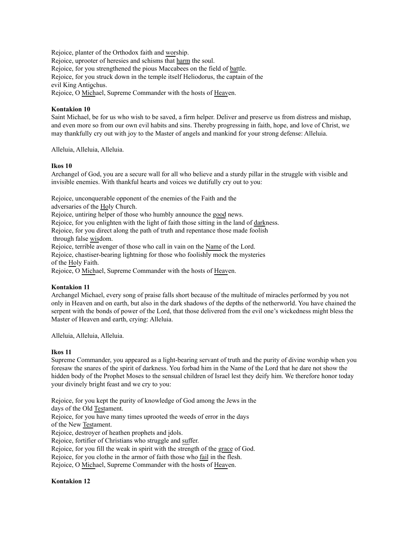Rejoice, planter of the Orthodox faith and worship. Rejoice, uprooter of heresies and schisms that harm the soul. Rejoice, for you strengthened the pious Maccabees on the field of battle. Rejoice, for you struck down in the temple itself Heliodorus, the captain of the evil King Antiochus. Rejoice, O Michael, Supreme Commander with the hosts of Heaven.

# **Kontakion 10**

Saint Michael, be for us who wish to be saved, a firm helper. Deliver and preserve us from distress and mishap, and even more so from our own evil habits and sins. Thereby progressing in faith, hope, and love of Christ, we may thankfully cry out with joy to the Master of angels and mankind for your strong defense: Alleluia.

Alleluia, Alleluia, Alleluia.

## **Ikos 10**

Archangel of God, you are a secure wall for all who believe and a sturdy pillar in the struggle with visible and invisible enemies. With thankful hearts and voices we dutifully cry out to you:

Rejoice, unconquerable opponent of the enemies of the Faith and the

adversaries of the Holy Church.

Rejoice, untiring helper of those who humbly announce the good news.

Rejoice, for you enlighten with the light of faith those sitting in the land of darkness.

Rejoice, for you direct along the path of truth and repentance those made foolish

through false wisdom.

Rejoice, terrible avenger of those who call in vain on the Name of the Lord.

Rejoice, chastiser-bearing lightning for those who foolishly mock the mysteries of the Holy Faith.

Rejoice, O Michael, Supreme Commander with the hosts of Heaven.

# **Kontakion 11**

Archangel Michael, every song of praise falls short because of the multitude of miracles performed by you not only in Heaven and on earth, but also in the dark shadows of the depths of the netherworld. You have chained the serpent with the bonds of power of the Lord, that those delivered from the evil one's wickedness might bless the Master of Heaven and earth, crying: Alleluia.

Alleluia, Alleluia, Alleluia.

# **Ikos 11**

Supreme Commander, you appeared as a light-bearing servant of truth and the purity of divine worship when you foresaw the snares of the spirit of darkness. You forbad him in the Name of the Lord that he dare not show the hidden body of the Prophet Moses to the sensual children of Israel lest they deify him. We therefore honor today your divinely bright feast and we cry to you:

Rejoice, for you kept the purity of knowledge of God among the Jews in the days of the Old Testament. Rejoice, for you have many times uprooted the weeds of error in the days of the New Testament. Rejoice, destroyer of heathen prophets and idols. Rejoice, fortifier of Christians who struggle and suffer. Rejoice, for you fill the weak in spirit with the strength of the grace of God. Rejoice, for you clothe in the armor of faith those who fail in the flesh.

Rejoice, O Michael, Supreme Commander with the hosts of Heaven.

# **Kontakion 12**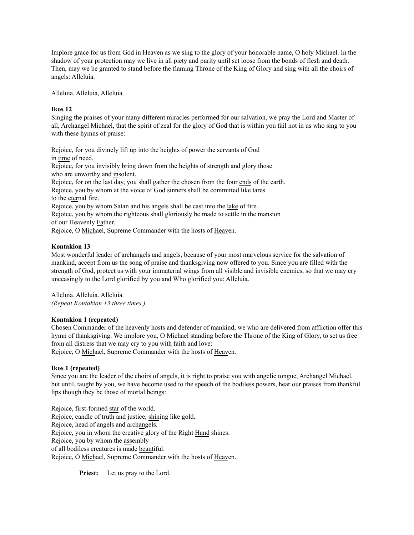Implore grace for us from God in Heaven as we sing to the glory of your honorable name, O holy Michael. In the shadow of your protection may we live in all piety and purity until set loose from the bonds of flesh and death. Then, may we be granted to stand before the flaming Throne of the King of Glory and sing with all the choirs of angels: Alleluia.

Alleluia, Alleluia, Alleluia.

# **Ikos 12**

Singing the praises of your many different miracles performed for our salvation, we pray the Lord and Master of all, Archangel Michael, that the spirit of zeal for the glory of God that is within you fail not in us who sing to you with these hymns of praise:

Rejoice, for you divinely lift up into the heights of power the servants of God in time of need. Rejoice, for you invisibly bring down from the heights of strength and glory those who are unworthy and insolent. Rejoice, for on the last day, you shall gather the chosen from the four ends of the earth. Rejoice, you by whom at the voice of God sinners shall be committed like tares to the eternal fire. Rejoice, you by whom Satan and his angels shall be cast into the lake of fire. Rejoice, you by whom the righteous shall gloriously be made to settle in the mansion of our Heavenly Father.

Rejoice, O Michael, Supreme Commander with the hosts of Heaven.

# **Kontakion 13**

Most wonderful leader of archangels and angels, because of your most marvelous service for the salvation of mankind, accept from us the song of praise and thanksgiving now offered to you. Since you are filled with the strength of God, protect us with your immaterial wings from all visible and invisible enemies, so that we may cry unceasingly to the Lord glorified by you and Who glorified you: Alleluia.

Alleluia. Alleluia. Alleluia. *(Repeat Kontakion 13 three times.)*

# **Kontakion 1 (repeated)**

Chosen Commander of the heavenly hosts and defender of mankind, we who are delivered from affliction offer this hymn of thanksgiving. We implore you, O Michael standing before the Throne of the King of Glory, to set us free from all distress that we may cry to you with faith and love:

Rejoice, O Michael, Supreme Commander with the hosts of Heaven.

# **Ikos 1 (repeated)**

Since you are the leader of the choirs of angels, it is right to praise you with angelic tongue, Archangel Michael, but until, taught by you, we have become used to the speech of the bodiless powers, hear our praises from thankful lips though they be those of mortal beings:

Rejoice, first-formed star of the world. Rejoice, candle of truth and justice, shining like gold. Rejoice, head of angels and archangels. Rejoice, you in whom the creative glory of the Right Hand shines. Rejoice, you by whom the assembly of all bodiless creatures is made beautiful. Rejoice, O Michael, Supreme Commander with the hosts of Heaven.

**Priest:** Let us pray to the Lord.